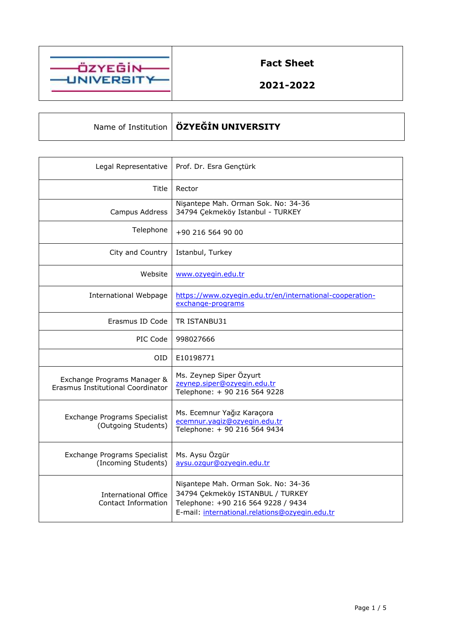

**Fact Sheet**

**2021-2022**

Name of Institution **ÖZYEĞİN UNIVERSITY**

| Legal Representative                                             | Prof. Dr. Esra Gençtürk                                                                                                                                         |
|------------------------------------------------------------------|-----------------------------------------------------------------------------------------------------------------------------------------------------------------|
| Title                                                            | Rector                                                                                                                                                          |
| Campus Address                                                   | Nişantepe Mah. Orman Sok. No: 34-36<br>34794 Çekmeköy Istanbul - TURKEY                                                                                         |
| Telephone                                                        | +90 216 564 90 00                                                                                                                                               |
| City and Country                                                 | Istanbul, Turkey                                                                                                                                                |
| Website                                                          | www.ozyegin.edu.tr                                                                                                                                              |
| <b>International Webpage</b>                                     | https://www.ozyegin.edu.tr/en/international-cooperation-<br>exchange-programs                                                                                   |
| Erasmus ID Code                                                  | TR ISTANBU31                                                                                                                                                    |
| PIC Code                                                         | 998027666                                                                                                                                                       |
| OID.                                                             | E10198771                                                                                                                                                       |
| Exchange Programs Manager &<br>Erasmus Institutional Coordinator | Ms. Zeynep Siper Özyurt<br>zeynep.siper@ozyegin.edu.tr<br>Telephone: + 90 216 564 9228                                                                          |
| Exchange Programs Specialist<br>(Outgoing Students)              | Ms. Ecemnur Yağız Karaçora<br>ecemnur.yaqiz@ozyeqin.edu.tr<br>Telephone: + 90 216 564 9434                                                                      |
| Exchange Programs Specialist<br>(Incoming Students)              | Ms. Aysu Özgür<br>aysu.ozqur@ozyegin.edu.tr                                                                                                                     |
| <b>International Office</b><br>Contact Information               | Nişantepe Mah. Orman Sok. No: 34-36<br>34794 Çekmeköy ISTANBUL / TURKEY<br>Telephone: +90 216 564 9228 / 9434<br>E-mail: international.relations@ozyegin.edu.tr |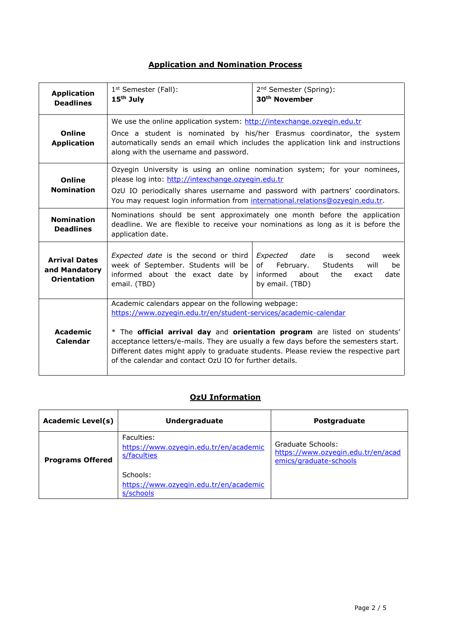## **Application and Nomination Process**

| <b>Application</b>                                          | 1 <sup>st</sup> Semester (Fall):                                                                                                                                                   | 2 <sup>nd</sup> Semester (Spring):                                                                                                                                                                                                                       |
|-------------------------------------------------------------|------------------------------------------------------------------------------------------------------------------------------------------------------------------------------------|----------------------------------------------------------------------------------------------------------------------------------------------------------------------------------------------------------------------------------------------------------|
| <b>Deadlines</b>                                            | $15th$ July                                                                                                                                                                        | 30 <sup>th</sup> November                                                                                                                                                                                                                                |
| Online                                                      | We use the online application system: http://intexchange.ozyegin.edu.tr                                                                                                            | Once a student is nominated by his/her Erasmus coordinator, the system                                                                                                                                                                                   |
| <b>Application</b>                                          | along with the username and password.                                                                                                                                              | automatically sends an email which includes the application link and instructions                                                                                                                                                                        |
| Online                                                      | please log into: http://intexchange.ozyegin.edu.tr                                                                                                                                 | Ozyegin University is using an online nomination system; for your nominees,                                                                                                                                                                              |
| <b>Nomination</b>                                           | You may request login information from international.relations@ozyegin.edu.tr.                                                                                                     | OzU IO periodically shares username and password with partners' coordinators.                                                                                                                                                                            |
| <b>Nomination</b><br><b>Deadlines</b>                       | application date.                                                                                                                                                                  | Nominations should be sent approximately one month before the application<br>deadline. We are flexible to receive your nominations as long as it is before the                                                                                           |
| <b>Arrival Dates</b><br>and Mandatory<br><b>Orientation</b> | Expected date is the second or third<br>week of September. Students will be<br>informed about the exact date by<br>email. (TBD)                                                    | Expected date<br>is<br>second<br>week<br>of l<br>February.<br>Students<br>will<br>be<br>about<br>informed<br>the<br>date<br>exact<br>by email. (TBD)                                                                                                     |
| Academic<br>Calendar                                        | Academic calendars appear on the following webpage:<br>https://www.ozyegin.edu.tr/en/student-services/academic-calendar<br>of the calendar and contact OzU IO for further details. | * The official arrival day and orientation program are listed on students'<br>acceptance letters/e-mails. They are usually a few days before the semesters start.<br>Different dates might apply to graduate students. Please review the respective part |

# **OzU Information**

| <b>Academic Level(s)</b> | Undergraduate                                                       | <b>Postgraduate</b>                                                               |
|--------------------------|---------------------------------------------------------------------|-----------------------------------------------------------------------------------|
| <b>Programs Offered</b>  | Faculties:<br>https://www.ozyegin.edu.tr/en/academic<br>s/faculties | Graduate Schools:<br>https://www.ozyegin.edu.tr/en/acad<br>emics/graduate-schools |
|                          | Schools:<br>https://www.ozyegin.edu.tr/en/academic<br>s/schools     |                                                                                   |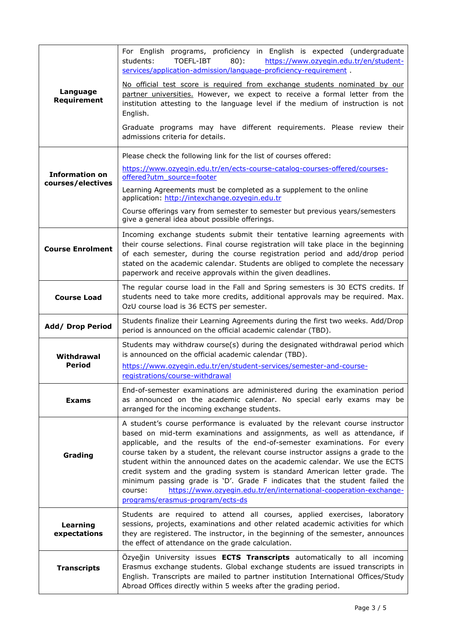|                          | For English programs, proficiency in English is expected (undergraduate<br>TOEFL-IBT<br>$80$ :<br>students:<br>https://www.ozyegin.edu.tr/en/student-<br>services/application-admission/language-proficiency-requirement.                                                                                                                                                                                                                                                                                                                                                                                                                                                                      |
|--------------------------|------------------------------------------------------------------------------------------------------------------------------------------------------------------------------------------------------------------------------------------------------------------------------------------------------------------------------------------------------------------------------------------------------------------------------------------------------------------------------------------------------------------------------------------------------------------------------------------------------------------------------------------------------------------------------------------------|
| Language<br>Requirement  | No official test score is required from exchange students nominated by our<br>partner universities. However, we expect to receive a formal letter from the<br>institution attesting to the language level if the medium of instruction is not<br>English.                                                                                                                                                                                                                                                                                                                                                                                                                                      |
|                          | Graduate programs may have different requirements. Please review their<br>admissions criteria for details.                                                                                                                                                                                                                                                                                                                                                                                                                                                                                                                                                                                     |
|                          | Please check the following link for the list of courses offered:                                                                                                                                                                                                                                                                                                                                                                                                                                                                                                                                                                                                                               |
| <b>Information on</b>    | https://www.ozyegin.edu.tr/en/ects-course-catalog-courses-offered/courses-<br>offered?utm_source=footer                                                                                                                                                                                                                                                                                                                                                                                                                                                                                                                                                                                        |
| courses/electives        | Learning Agreements must be completed as a supplement to the online<br>application: http://intexchange.ozyegin.edu.tr                                                                                                                                                                                                                                                                                                                                                                                                                                                                                                                                                                          |
|                          | Course offerings vary from semester to semester but previous years/semesters<br>give a general idea about possible offerings.                                                                                                                                                                                                                                                                                                                                                                                                                                                                                                                                                                  |
| <b>Course Enrolment</b>  | Incoming exchange students submit their tentative learning agreements with<br>their course selections. Final course registration will take place in the beginning<br>of each semester, during the course registration period and add/drop period<br>stated on the academic calendar. Students are obliged to complete the necessary<br>paperwork and receive approvals within the given deadlines.                                                                                                                                                                                                                                                                                             |
| <b>Course Load</b>       | The regular course load in the Fall and Spring semesters is 30 ECTS credits. If<br>students need to take more credits, additional approvals may be required. Max.<br>OzU course load is 36 ECTS per semester.                                                                                                                                                                                                                                                                                                                                                                                                                                                                                  |
| <b>Add/ Drop Period</b>  | Students finalize their Learning Agreements during the first two weeks. Add/Drop<br>period is announced on the official academic calendar (TBD).                                                                                                                                                                                                                                                                                                                                                                                                                                                                                                                                               |
| Withdrawal               | Students may withdraw course(s) during the designated withdrawal period which<br>is announced on the official academic calendar (TBD).                                                                                                                                                                                                                                                                                                                                                                                                                                                                                                                                                         |
| Period                   | https://www.ozyegin.edu.tr/en/student-services/semester-and-course-<br>registrations/course-withdrawal                                                                                                                                                                                                                                                                                                                                                                                                                                                                                                                                                                                         |
| <b>Exams</b>             | End-of-semester examinations are administered during the examination period<br>as announced on the academic calendar. No special early exams may be<br>arranged for the incoming exchange students.                                                                                                                                                                                                                                                                                                                                                                                                                                                                                            |
| Grading                  | A student's course performance is evaluated by the relevant course instructor<br>based on mid-term examinations and assignments, as well as attendance, if<br>applicable, and the results of the end-of-semester examinations. For every<br>course taken by a student, the relevant course instructor assigns a grade to the<br>student within the announced dates on the academic calendar. We use the ECTS<br>credit system and the grading system is standard American letter grade. The<br>minimum passing grade is 'D'. Grade F indicates that the student failed the<br>https://www.ozyegin.edu.tr/en/international-cooperation-exchange-<br>course:<br>programs/erasmus-program/ects-ds |
| Learning<br>expectations | Students are required to attend all courses, applied exercises, laboratory<br>sessions, projects, examinations and other related academic activities for which<br>they are registered. The instructor, in the beginning of the semester, announces<br>the effect of attendance on the grade calculation.                                                                                                                                                                                                                                                                                                                                                                                       |
| <b>Transcripts</b>       | Özyeğin University issues <b>ECTS Transcripts</b> automatically to all incoming<br>Erasmus exchange students. Global exchange students are issued transcripts in<br>English. Transcripts are mailed to partner institution International Offices/Study<br>Abroad Offices directly within 5 weeks after the grading period.                                                                                                                                                                                                                                                                                                                                                                     |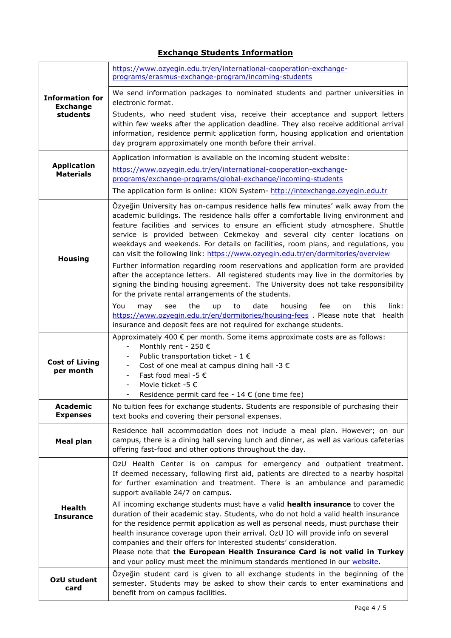### **Exchange Students Information**

| <b>Information for</b><br><b>Exchange</b><br>students | https://www.ozyegin.edu.tr/en/international-cooperation-exchange-<br>programs/erasmus-exchange-program/incoming-students                                                                                                                                                                                                                                                                                                                                                                                                                                                           |
|-------------------------------------------------------|------------------------------------------------------------------------------------------------------------------------------------------------------------------------------------------------------------------------------------------------------------------------------------------------------------------------------------------------------------------------------------------------------------------------------------------------------------------------------------------------------------------------------------------------------------------------------------|
|                                                       | We send information packages to nominated students and partner universities in<br>electronic format.                                                                                                                                                                                                                                                                                                                                                                                                                                                                               |
|                                                       | Students, who need student visa, receive their acceptance and support letters<br>within few weeks after the application deadline. They also receive additional arrival<br>information, residence permit application form, housing application and orientation<br>day program approximately one month before their arrival.                                                                                                                                                                                                                                                         |
| <b>Application</b><br><b>Materials</b>                | Application information is available on the incoming student website:<br>https://www.ozyegin.edu.tr/en/international-cooperation-exchange-<br>programs/exchange-programs/global-exchange/incoming-students<br>The application form is online: KION System- http://intexchange.ozyegin.edu.tr                                                                                                                                                                                                                                                                                       |
| <b>Housing</b>                                        | Özyeğin University has on-campus residence halls few minutes' walk away from the<br>academic buildings. The residence halls offer a comfortable living environment and<br>feature facilities and services to ensure an efficient study atmosphere. Shuttle<br>service is provided between Cekmekoy and several city center locations on<br>weekdays and weekends. For details on facilities, room plans, and regulations, you<br>can visit the following link: https://www.ozyegin.edu.tr/en/dormitories/overview                                                                  |
|                                                       | Further information regarding room reservations and application form are provided<br>after the acceptance letters. All registered students may live in the dormitories by<br>signing the binding housing agreement. The University does not take responsibility<br>for the private rental arrangements of the students.                                                                                                                                                                                                                                                            |
|                                                       | You<br>the<br>link:<br>see<br>up<br>to<br>date<br>housing<br>fee<br>this<br>may<br>on<br>https://www.ozyegin.edu.tr/en/dormitories/housing-fees . Please note that health<br>insurance and deposit fees are not required for exchange students.                                                                                                                                                                                                                                                                                                                                    |
| <b>Cost of Living</b><br>per month                    | Approximately 400 € per month. Some items approximate costs are as follows:<br>Monthly rent - 250 €<br>$\overline{\phantom{a}}$<br>Public transportation ticket - 1 $\epsilon$<br>Cost of one meal at campus dining hall -3 $\epsilon$<br>Fast food meal -5 €<br>Movie ticket -5 €<br>Residence permit card fee - $14 \in$ (one time fee)                                                                                                                                                                                                                                          |
| <b>Academic</b><br><b>Expenses</b>                    | No tuition fees for exchange students. Students are responsible of purchasing their<br>text books and covering their personal expenses.                                                                                                                                                                                                                                                                                                                                                                                                                                            |
| <b>Meal plan</b>                                      | Residence hall accommodation does not include a meal plan. However; on our<br>campus, there is a dining hall serving lunch and dinner, as well as various cafeterias<br>offering fast-food and other options throughout the day.                                                                                                                                                                                                                                                                                                                                                   |
| <b>Health</b><br><b>Insurance</b>                     | OzU Health Center is on campus for emergency and outpatient treatment.<br>If deemed necessary, following first aid, patients are directed to a nearby hospital<br>for further examination and treatment. There is an ambulance and paramedic<br>support available 24/7 on campus.                                                                                                                                                                                                                                                                                                  |
|                                                       | All incoming exchange students must have a valid health insurance to cover the<br>duration of their academic stay. Students, who do not hold a valid health insurance<br>for the residence permit application as well as personal needs, must purchase their<br>health insurance coverage upon their arrival. OzU IO will provide info on several<br>companies and their offers for interested students' consideration.<br>Please note that the European Health Insurance Card is not valid in Turkey<br>and your policy must meet the minimum standards mentioned in our website. |
| OzU student<br>card                                   | Özyeğin student card is given to all exchange students in the beginning of the<br>semester. Students may be asked to show their cards to enter examinations and<br>benefit from on campus facilities.                                                                                                                                                                                                                                                                                                                                                                              |